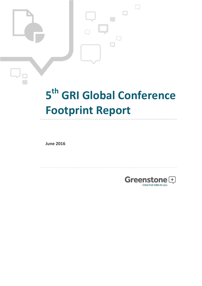# **5 th GRI Global Conference Footprint Report**

**June 2016**

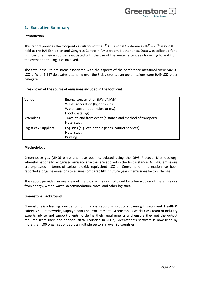

# **1. Executive Summary**

## **Introduction**

This report provides the footprint calculation of the 5<sup>th</sup> GRI Global Conference (18<sup>th</sup> – 20<sup>th</sup> May 2016), held at the RAI Exhibition and Congress Centre in Amsterdam, Netherlands. Data was collected for a number of emission sources associated with the use of the venue, attendees travelling to and from the event and the logistics involved.

The total absolute emissions associated with the aspects of the conference measured were **542.05 tCO₂e**. With 1,117 delegates attending over the 3-day event, average emissions were **0.49 tCO₂e** per delegate.

| Venue                 | Energy consumption (kWh/MWh)                                |  |  |  |
|-----------------------|-------------------------------------------------------------|--|--|--|
|                       | Waste generation (kg or tonne)                              |  |  |  |
|                       | Water consumption (Litre or m3)                             |  |  |  |
|                       | Food waste (kg)                                             |  |  |  |
| <b>Attendees</b>      | Travel to and from event (distance and method of transport) |  |  |  |
|                       | Hotel stays                                                 |  |  |  |
| Logistics / Suppliers | Logistics (e.g. exhibitor logistics, courier services)      |  |  |  |
|                       | Hotel stays                                                 |  |  |  |
|                       | Printing                                                    |  |  |  |

## **Breakdown of the source of emissions included in the footprint**

## **Methodology**

Greenhouse gas (GHG) emissions have been calculated using the GHG Protocol Methodology, whereby nationally recognised emissions factors are applied in the first instance. All GHG emissions are expressed in terms of carbon dioxide equivalent ( $tCO<sub>2</sub>e$ ). Consumption information has been reported alongside emissions to ensure comparability in future years if emissions factors change.

The report provides an overview of the total emissions, followed by a breakdown of the emissions from energy, water, waste, accommodation, travel and other logistics.

## **Greenstone Background**

Greenstone is a leading provider of non-financial reporting solutions covering Environment, Health & Safety, CSR Frameworks, Supply Chain and Procurement. Greenstone's world-class team of industry experts advise and support clients to define their requirements and ensure they get the output required from their non-financial data. Founded in 2007, Greenstone's software is now used by more than 100 organisations across multiple sectors in over 90 countries.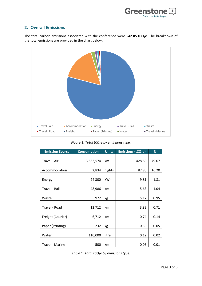

# **2. Overall Emissions**

The total carbon emissions associated with the conference were **542.05 tCO₂e**. The breakdown of the total emissions are provided in the chart below.



*Figure 1: Total tCO₂e by emissions type.*

| <b>Emission Source</b> | <b>Consumption</b> | <b>Units</b> | <b>Emissions (tCO<sub>2</sub>e)</b> | %     |
|------------------------|--------------------|--------------|-------------------------------------|-------|
|                        |                    |              |                                     |       |
| Travel - Air           | 3,563,574          | km           | 428.60                              | 79.07 |
| Accommodation          | 2,834              | nights       | 87.80                               | 16.20 |
| Energy                 | 24,300             | <b>kWh</b>   | 9.81                                | 1.81  |
| Travel - Rail          | 48,986             | km           | 5.63                                | 1.04  |
| Waste                  | 972                | kg           | 5.17                                | 0.95  |
| Travel - Road          | 12,712             | km           | 3.83                                | 0.71  |
| Freight (Courier)      | 6,712              | km           | 0.74                                | 0.14  |
| Paper (Printing)       | 232                | kg           | 0.30                                | 0.05  |
| Water                  | 110,000            | litre        | 0.12                                | 0.02  |
| Travel - Marine        | 500                | km           | 0.06                                | 0.01  |

*Table 1: Total tCO₂e by emissions type.*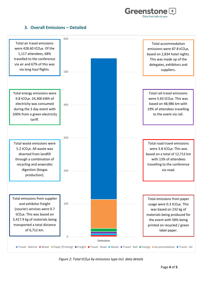

## **3. Overall Emissions – Detailed**



*Figure 2: Total tCO₂e by emissions type incl. data details*